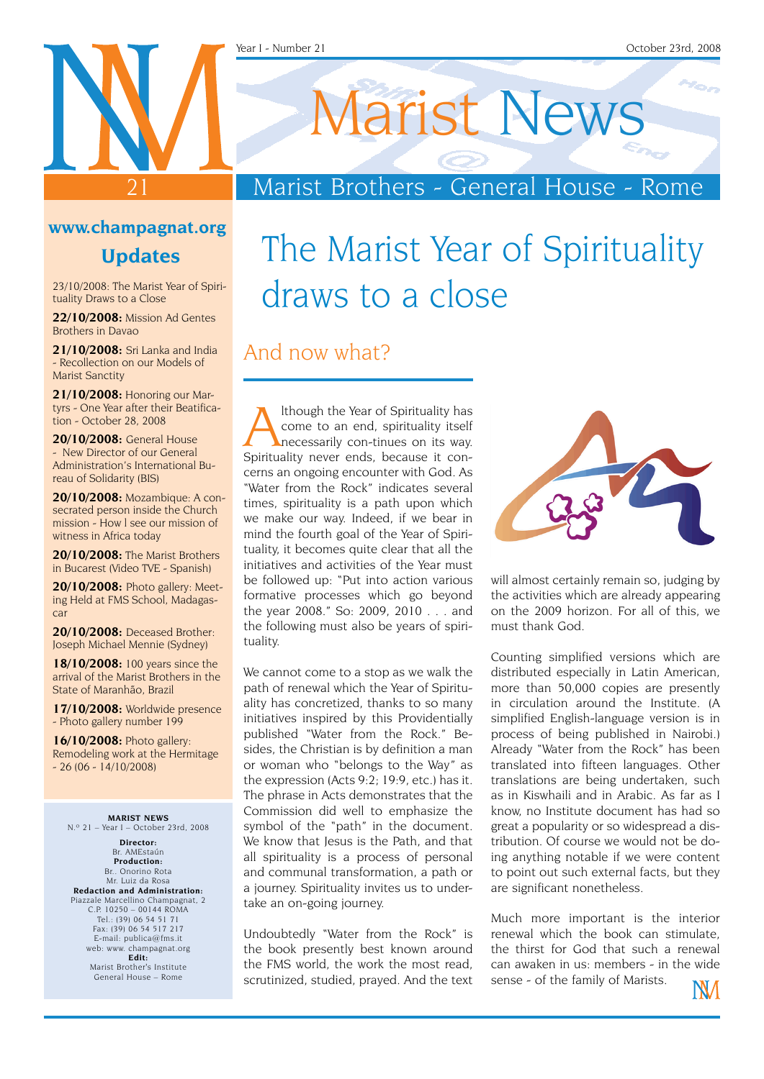# Marist News

### Marist Brothers - General House - Rome

#### **www.champagnat.org**

21

#### **Updates**

23/10/2008: The Marist Year of Spirituality Draws to a Close

**22/10/2008:** Mission Ad Gentes Brothers in Davao

**21/10/2008:** Sri Lanka and India - Recollection on our Models of Marist Sanctity

**21/10/2008:** Honoring our Martyrs - One Year after their Beatification - October 28, 2008

**20/10/2008:** General House - New Director of our General Administration's International Bureau of Solidarity (BIS)

**20/10/2008:** Mozambique: A consecrated person inside the Church mission - How l see our mission of witness in Africa today

**20/10/2008:** The Marist Brothers in Bucarest (Video TVE - Spanish)

**20/10/2008:** Photo gallery: Meeting Held at FMS School, Madagascar

**20/10/2008:** Deceased Brother: Joseph Michael Mennie (Sydney)

**18/10/2008:** 100 years since the arrival of the Marist Brothers in the State of Maranhão, Brazil

**17/10/2008:** Worldwide presence - Photo gallery number 199

**16/10/2008:** Photo gallery: Remodeling work at the Hermitage  $-26 (06 - 14/10/2008)$ 

**MARIST NEWS**  $N^{\circ}$  21 – Year I – October 23rd, 2008

**Director:** Br. AMEstaún **Production:** Br.. Onorino Rota Mr. Luiz da Rosa **Redaction and Administration:** Piazzale Marcellino Champagnat, 2 C.P. 10250 – 00144 ROMA Tel.: (39) 06 54 51 71 Fax: (39) 06 54 517 217 E-mail: publica@fms.it web: www. champagnat.org **Edit:** Marist Brother's Institute General House – Rome

### The Marist Year of Spirituality draws to a close

### And now what?

Ithough the Year of Spirituality has<br>
come to an end, spirituality itself<br>
necessarily con-tinues on its way.<br>
Spirituality never ends, because it concome to an end, spirituality itself necessarily con-tinues on its way. Spirituality never ends, because it concerns an ongoing encounter with God. As "Water from the Rock" indicates several times, spirituality is a path upon which we make our way. Indeed, if we bear in mind the fourth goal of the Year of Spirituality, it becomes quite clear that all the initiatives and activities of the Year must be followed up: "Put into action various formative processes which go beyond the year 2008." So: 2009, 2010 . . . and the following must also be years of spirituality.

We cannot come to a stop as we walk the path of renewal which the Year of Spirituality has concretized, thanks to so many initiatives inspired by this Providentially published "Water from the Rock." Besides, the Christian is by definition a man or woman who "belongs to the Way" as the expression (Acts 9:2; 19:9, etc.) has it. The phrase in Acts demonstrates that the Commission did well to emphasize the symbol of the "path" in the document. We know that Jesus is the Path, and that all spirituality is a process of personal and communal transformation, a path or a journey. Spirituality invites us to undertake an on-going journey.

Undoubtedly "Water from the Rock" is the book presently best known around the FMS world, the work the most read, scrutinized, studied, prayed. And the text



will almost certainly remain so, judging by the activities which are already appearing on the 2009 horizon. For all of this, we must thank God.

Counting simplified versions which are distributed especially in Latin American, more than 50,000 copies are presently in circulation around the Institute. (A simplified English-language version is in process of being published in Nairobi.) Already "Water from the Rock" has been translated into fifteen languages. Other translations are being undertaken, such as in Kiswhaili and in Arabic. As far as I know, no Institute document has had so great a popularity or so widespread a distribution. Of course we would not be doing anything notable if we were content to point out such external facts, but they are significant nonetheless.

Much more important is the interior renewal which the book can stimulate, the thirst for God that such a renewal can awaken in us: members - in the wide sense - of the family of Marists.INVI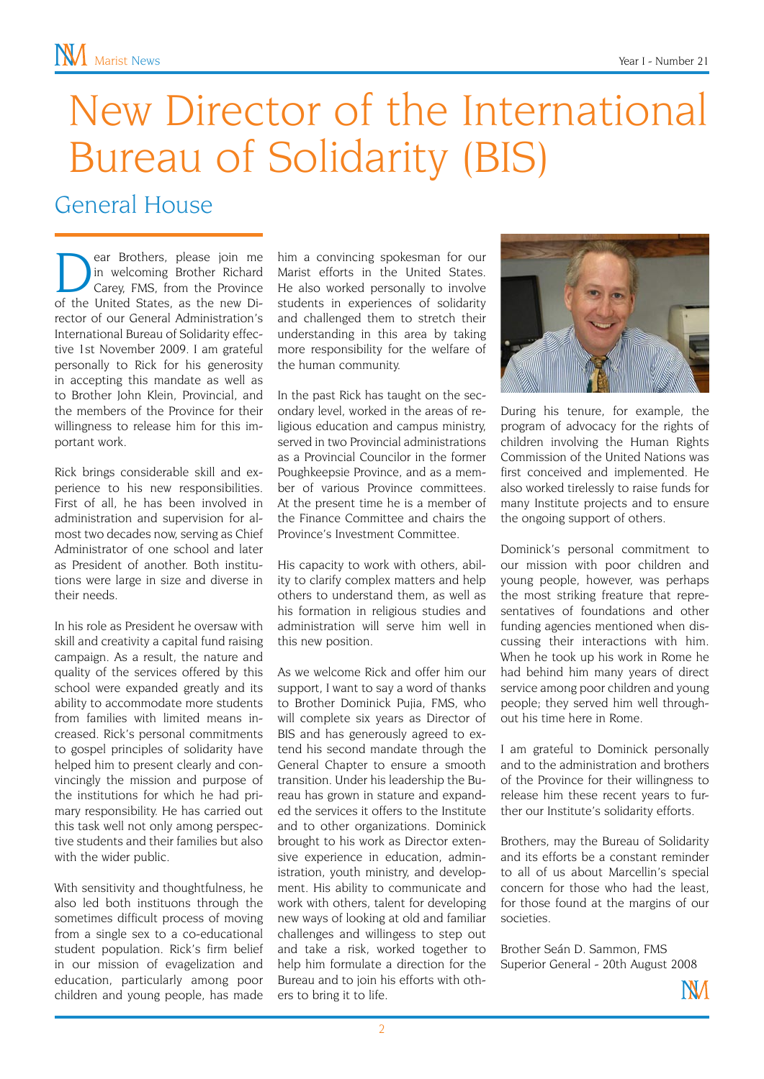# New Director of the International Bureau of Solidarity (BIS)

### General House

ear Brothers, please join me<br>in welcoming Brother Richard<br>Carey, FMS, from the Province in welcoming Brother Richard Carey, FMS, from the Province of the United States, as the new Director of our General Administration's International Bureau of Solidarity effective 1st November 2009. I am grateful personally to Rick for his generosity in accepting this mandate as well as to Brother John Klein, Provincial, and the members of the Province for their willingness to release him for this important work.

Rick brings considerable skill and experience to his new responsibilities. First of all, he has been involved in administration and supervision for almost two decades now, serving as Chief Administrator of one school and later as President of another. Both institutions were large in size and diverse in their needs.

In his role as President he oversaw with skill and creativity a capital fund raising campaign. As a result, the nature and quality of the services offered by this school were expanded greatly and its ability to accommodate more students from families with limited means increased. Rick's personal commitments to gospel principles of solidarity have helped him to present clearly and convincingly the mission and purpose of the institutions for which he had primary responsibility. He has carried out this task well not only among perspective students and their families but also with the wider public.

With sensitivity and thoughtfulness, he also led both instituons through the sometimes difficult process of moving from a single sex to a co-educational student population. Rick's firm belief in our mission of evagelization and education, particularly among poor children and young people, has made him a convincing spokesman for our Marist efforts in the United States. He also worked personally to involve students in experiences of solidarity and challenged them to stretch their understanding in this area by taking more responsibility for the welfare of the human community.

In the past Rick has taught on the secondary level, worked in the areas of religious education and campus ministry, served in two Provincial administrations as a Provincial Councilor in the former Poughkeepsie Province, and as a member of various Province committees. At the present time he is a member of the Finance Committee and chairs the Province's Investment Committee.

His capacity to work with others, ability to clarify complex matters and help others to understand them, as well as his formation in religious studies and administration will serve him well in this new position.

As we welcome Rick and offer him our support, I want to say a word of thanks to Brother Dominick Pujia, FMS, who will complete six years as Director of BIS and has generously agreed to extend his second mandate through the General Chapter to ensure a smooth transition. Under his leadership the Bureau has grown in stature and expanded the services it offers to the Institute and to other organizations. Dominick brought to his work as Director extensive experience in education, administration, youth ministry, and development. His ability to communicate and work with others, talent for developing new ways of looking at old and familiar challenges and willingess to step out and take a risk, worked together to help him formulate a direction for the Bureau and to join his efforts with others to bring it to life.



During his tenure, for example, the program of advocacy for the rights of children involving the Human Rights Commission of the United Nations was first conceived and implemented. He also worked tirelessly to raise funds for many Institute projects and to ensure the ongoing support of others.

Dominick's personal commitment to our mission with poor children and young people, however, was perhaps the most striking freature that representatives of foundations and other funding agencies mentioned when discussing their interactions with him. When he took up his work in Rome he had behind him many years of direct service among poor children and young people; they served him well throughout his time here in Rome.

I am grateful to Dominick personally and to the administration and brothers of the Province for their willingness to release him these recent years to further our Institute's solidarity efforts.

Brothers, may the Bureau of Solidarity and its efforts be a constant reminder to all of us about Marcellin's special concern for those who had the least, for those found at the margins of our societies.

Brother Seán D. Sammon, FMS Superior General - 20th August 2008

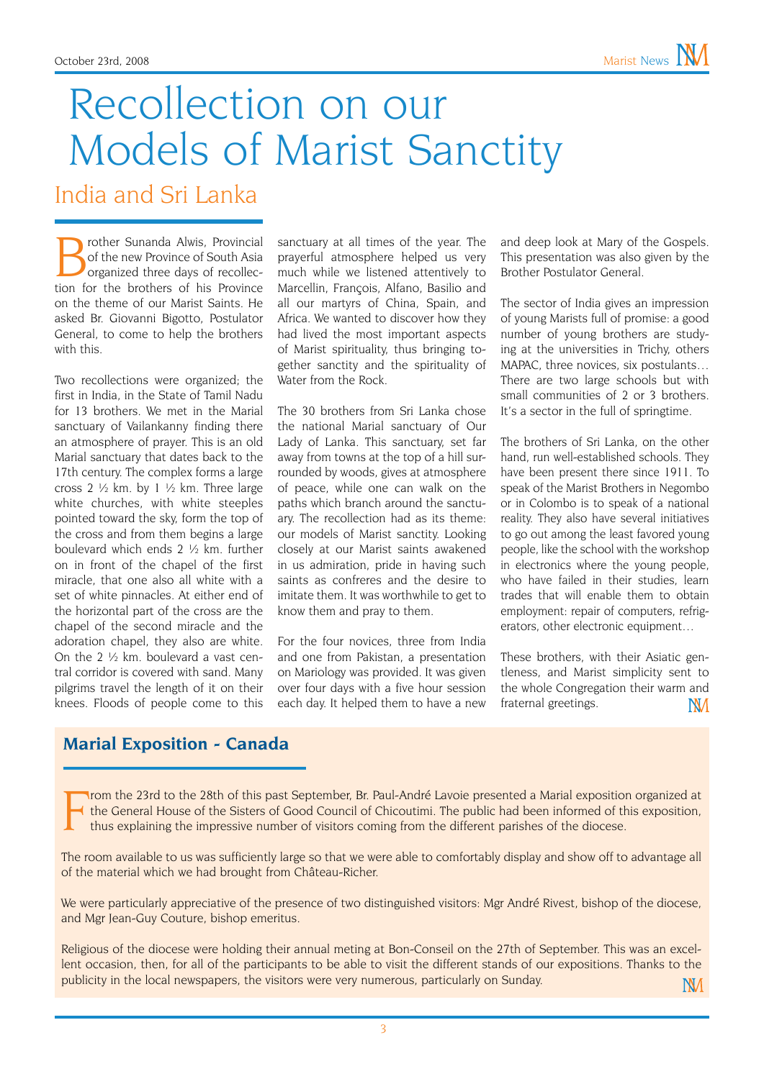## Recollection on our Models of Marist Sanctity

India and Sri Lanka

**Brother Sunanda Alwis, Provincial**<br>
of the new Province of South Asia<br>
organized three days of recollec-<br>
tion for the brothers of his Province of the new Province of South Asia tion for the brothers of his Province on the theme of our Marist Saints. He asked Br. Giovanni Bigotto, Postulator General, to come to help the brothers with this.

Two recollections were organized; the first in India, in the State of Tamil Nadu for 13 brothers. We met in the Marial sanctuary of Vailankanny finding there an atmosphere of prayer. This is an old Marial sanctuary that dates back to the 17th century. The complex forms a large cross 2  $\frac{1}{2}$  km. by 1  $\frac{1}{2}$  km. Three large white churches, with white steeples pointed toward the sky, form the top of the cross and from them begins a large boulevard which ends 2 ½ km. further on in front of the chapel of the first miracle, that one also all white with a set of white pinnacles. At either end of the horizontal part of the cross are the chapel of the second miracle and the adoration chapel, they also are white. On the 2 ½ km. boulevard a vast central corridor is covered with sand. Many pilgrims travel the length of it on their knees. Floods of people come to this

sanctuary at all times of the year. The prayerful atmosphere helped us very much while we listened attentively to Marcellin, François, Alfano, Basilio and all our martyrs of China, Spain, and Africa. We wanted to discover how they had lived the most important aspects of Marist spirituality, thus bringing together sanctity and the spirituality of Water from the Rock.

The 30 brothers from Sri Lanka chose the national Marial sanctuary of Our Lady of Lanka. This sanctuary, set far away from towns at the top of a hill surrounded by woods, gives at atmosphere of peace, while one can walk on the paths which branch around the sanctuary. The recollection had as its theme: our models of Marist sanctity. Looking closely at our Marist saints awakened in us admiration, pride in having such saints as confreres and the desire to imitate them. It was worthwhile to get to know them and pray to them.

For the four novices, three from India and one from Pakistan, a presentation on Mariology was provided. It was given over four days with a five hour session each day. It helped them to have a new

and deep look at Mary of the Gospels. This presentation was also given by the Brother Postulator General.

The sector of India gives an impression of young Marists full of promise: a good number of young brothers are studying at the universities in Trichy, others MAPAC, three novices, six postulants… There are two large schools but with small communities of 2 or 3 brothers. It's a sector in the full of springtime.

The brothers of Sri Lanka, on the other hand, run well-established schools. They have been present there since 1911. To speak of the Marist Brothers in Negombo or in Colombo is to speak of a national reality. They also have several initiatives to go out among the least favored young people, like the school with the workshop in electronics where the young people, who have failed in their studies, learn trades that will enable them to obtain employment: repair of computers, refrigerators, other electronic equipment…

These brothers, with their Asiatic gentleness, and Marist simplicity sent to the whole Congregation their warm and fraternal greetings.**NM** 

### **Marial Exposition - Canada**

F rom the 23rd to the 28th of this past September, Br. Paul-André Lavoie presented a Marial exposition organized at the General House of the Sisters of Good Council of Chicoutimi. The public had been informed of this exposition, thus explaining the impressive number of visitors coming from the different parishes of the diocese.

The room available to us was sufficiently large so that we were able to comfortably display and show off to advantage all of the material which we had brought from Château-Richer.

We were particularly appreciative of the presence of two distinguished visitors: Mgr André Rivest, bishop of the diocese, and Mgr Jean-Guy Couture, bishop emeritus.

Religious of the diocese were holding their annual meting at Bon-Conseil on the 27th of September. This was an excellent occasion, then, for all of the participants to be able to visit the different stands of our expositions. Thanks to the publicity in the local newspapers, the visitors were very numerous, particularly on Sunday. **NV**